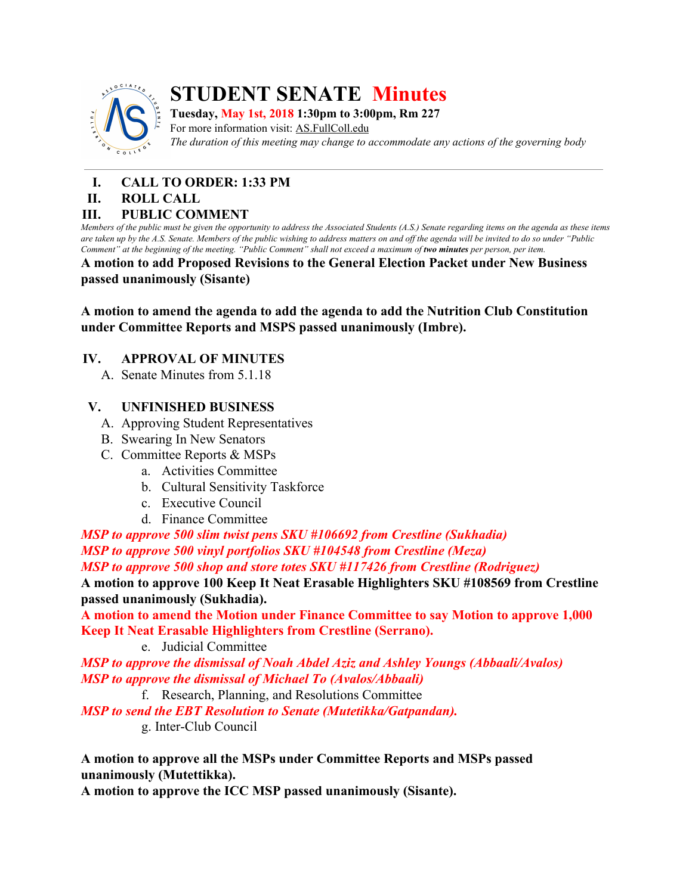

# **STUDENT SENATE Minutes**

**Tuesday, May 1st, 2018 1:30pm to 3:00pm, Rm 227**

For more information visit: AS.FullColl.edu *The duration of this meeting may change to accommodate any actions of the governing body*

- **I. CALL TO ORDER: 1:33 PM**
- **II. ROLL CALL**

## **III. PUBLIC COMMENT**

Members of the public must be given the opportunity to address the Associated Students (A.S.) Senate regarding items on the agenda as these items are taken up by the A.S. Senate. Members of the public wishing to address matters on and off the agenda will be invited to do so under "Public Comment" at the beginning of the meeting. "Public Comment" shall not exceed a maximum of two minutes per person, per item.

**A motion to add Proposed Revisions to the General Election Packet under New Business passed unanimously (Sisante)**

**A motion to amend the agenda to add the agenda to add the Nutrition Club Constitution under Committee Reports and MSPS passed unanimously (Imbre).**

# **IV. APPROVAL OF MINUTES**

A. Senate Minutes from 5.1.18

# **V. UNFINISHED BUSINESS**

- A. Approving Student Representatives
- B. Swearing In New Senators
- C. Committee Reports & MSPs
	- a. Activities Committee
	- b. Cultural Sensitivity Taskforce
	- c. Executive Council
	- d. Finance Committee

*MSP to approve 500 slim twist pens SKU #106692 from Crestline (Sukhadia) MSP to approve 500 vinyl portfolios SKU #104548 from Crestline (Meza) MSP to approve 500 shop and store totes SKU #117426 from Crestline (Rodriguez)*

**A motion to approve 100 Keep It Neat Erasable Highlighters SKU #108569 from Crestline passed unanimously (Sukhadia).**

**A motion to amend the Motion under Finance Committee to say Motion to approve 1,000 Keep It Neat Erasable Highlighters from Crestline (Serrano).**

e. Judicial Committee

*MSP to approve the dismissal of Noah Abdel Aziz and Ashley Youngs (Abbaali/Avalos) MSP to approve the dismissal of Michael To (Avalos/Abbaali)*

f. Research, Planning, and Resolutions Committee

*MSP to send the EBT Resolution to Senate (Mutetikka/Gatpandan).*

g. Inter-Club Council

**A motion to approve all the MSPs under Committee Reports and MSPs passed unanimously (Mutettikka).**

**A motion to approve the ICC MSP passed unanimously (Sisante).**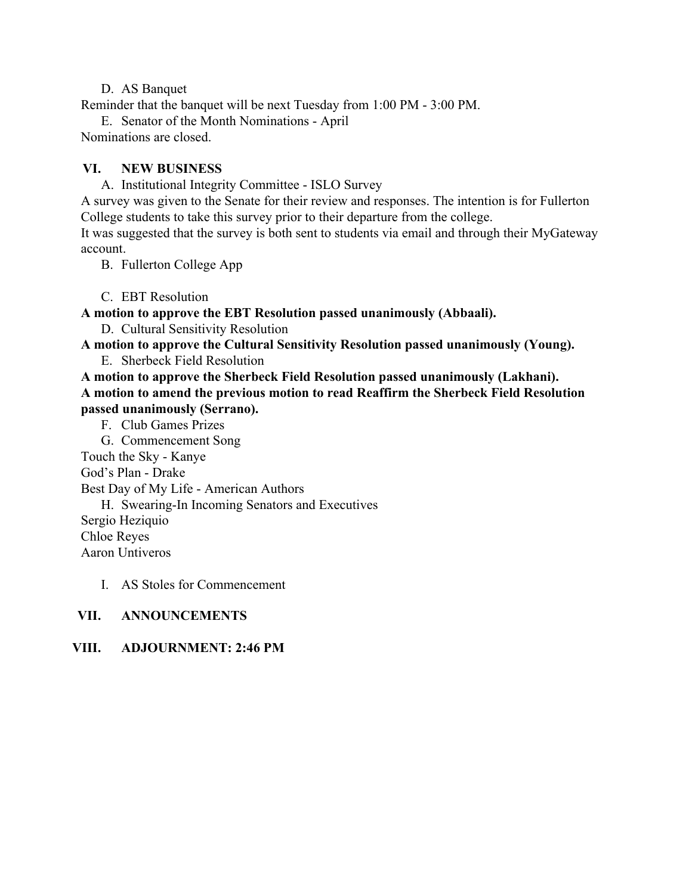#### D. AS Banquet

Reminder that the banquet will be next Tuesday from 1:00 PM - 3:00 PM.

E. Senator of the Month Nominations - April Nominations are closed.

#### **VI. NEW BUSINESS**

A. Institutional Integrity Committee - ISLO Survey

A survey was given to the Senate for their review and responses. The intention is for Fullerton College students to take this survey prior to their departure from the college.

It was suggested that the survey is both sent to students via email and through their MyGateway account.

B. Fullerton College App

C. EBT Resolution

**A motion to approve the EBT Resolution passed unanimously (Abbaali).**

D. Cultural Sensitivity Resolution

**A motion to approve the Cultural Sensitivity Resolution passed unanimously (Young).**

E. Sherbeck Field Resolution

**A motion to approve the Sherbeck Field Resolution passed unanimously (Lakhani). A motion to amend the previous motion to read Reaffirm the Sherbeck Field Resolution passed unanimously (Serrano).**

F. Club Games Prizes

G. Commencement Song

Touch the Sky - Kanye

God's Plan - Drake

Best Day of My Life - American Authors

H. Swearing-In Incoming Senators and Executives

Sergio Heziquio

Chloe Reyes

Aaron Untiveros

#### I. AS Stoles for Commencement

## **VII. ANNOUNCEMENTS**

## **VIII. ADJOURNMENT: 2:46 PM**